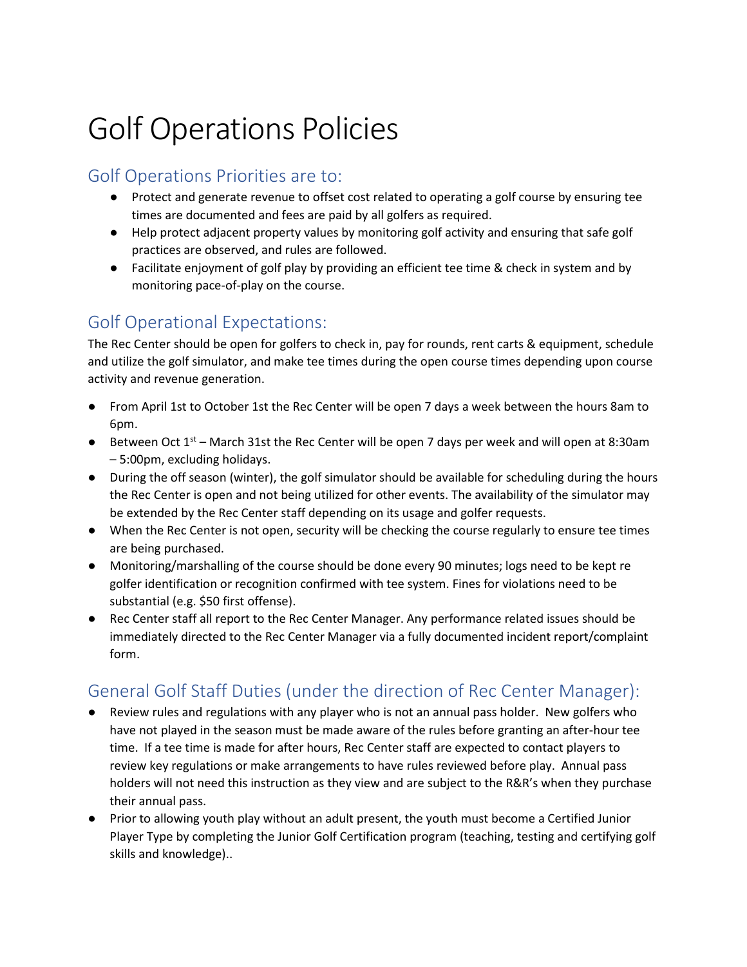# Golf Operations Policies

# Golf Operations Priorities are to:

- Protect and generate revenue to offset cost related to operating a golf course by ensuring tee times are documented and fees are paid by all golfers as required.
- Help protect adjacent property values by monitoring golf activity and ensuring that safe golf practices are observed, and rules are followed.
- Facilitate enjoyment of golf play by providing an efficient tee time & check in system and by monitoring pace-of-play on the course.

# Golf Operational Expectations:

The Rec Center should be open for golfers to check in, pay for rounds, rent carts & equipment, schedule and utilize the golf simulator, and make tee times during the open course times depending upon course activity and revenue generation.

- From April 1st to October 1st the Rec Center will be open 7 days a week between the hours 8am to 6pm.
- Between Oct  $1<sup>st</sup>$  March 31st the Rec Center will be open 7 days per week and will open at 8:30am – 5:00pm, excluding holidays.
- During the off season (winter), the golf simulator should be available for scheduling during the hours the Rec Center is open and not being utilized for other events. The availability of the simulator may be extended by the Rec Center staff depending on its usage and golfer requests.
- When the Rec Center is not open, security will be checking the course regularly to ensure tee times are being purchased.
- Monitoring/marshalling of the course should be done every 90 minutes; logs need to be kept re golfer identification or recognition confirmed with tee system. Fines for violations need to be substantial (e.g. \$50 first offense).
- Rec Center staff all report to the Rec Center Manager. Any performance related issues should be immediately directed to the Rec Center Manager via a fully documented incident report/complaint form.

# General Golf Staff Duties (under the direction of Rec Center Manager):

- Review rules and regulations with any player who is not an annual pass holder. New golfers who have not played in the season must be made aware of the rules before granting an after-hour tee time. If a tee time is made for after hours, Rec Center staff are expected to contact players to review key regulations or make arrangements to have rules reviewed before play. Annual pass holders will not need this instruction as they view and are subject to the R&R's when they purchase their annual pass.
- Prior to allowing youth play without an adult present, the youth must become a Certified Junior Player Type by completing the Junior Golf Certification program (teaching, testing and certifying golf skills and knowledge)..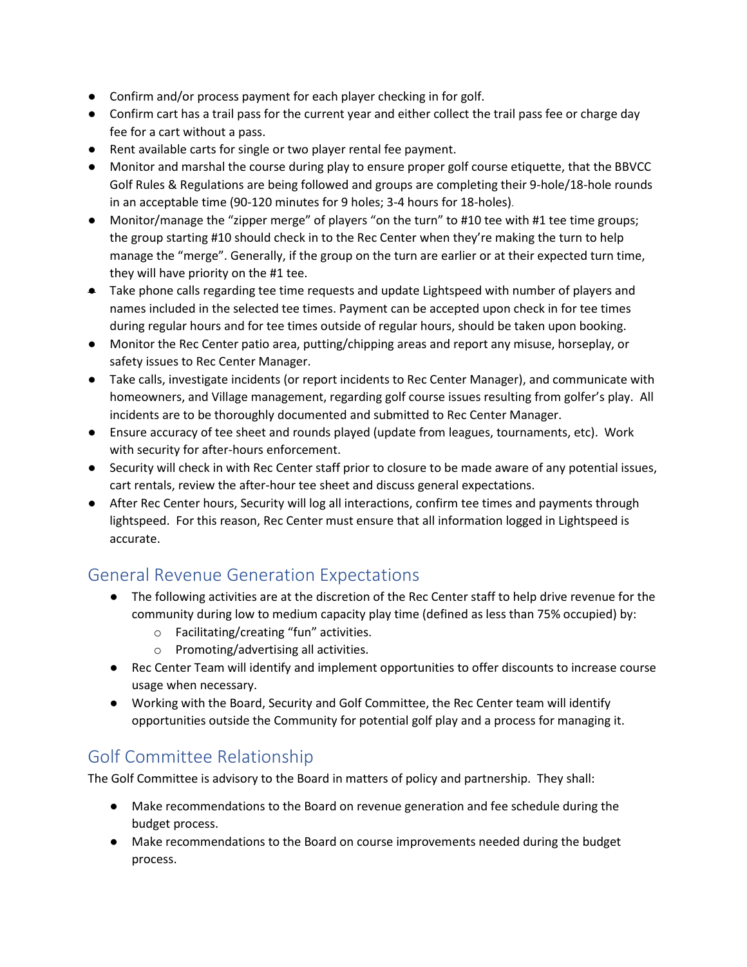- Confirm and/or process payment for each player checking in for golf.
- Confirm cart has a trail pass for the current year and either collect the trail pass fee or charge day fee for a cart without a pass.
- Rent available carts for single or two player rental fee payment.
- Monitor and marshal the course during play to ensure proper golf course etiquette, that the BBVCC Golf Rules & Regulations are being followed and groups are completing their 9-hole/18-hole rounds in an acceptable time (90-120 minutes for 9 holes; 3-4 hours for 18-holes).
- Monitor/manage the "zipper merge" of players "on the turn" to #10 tee with #1 tee time groups; the group starting #10 should check in to the Rec Center when they're making the turn to help manage the "merge". Generally, if the group on the turn are earlier or at their expected turn time, they will have priority on the #1 tee.
- Take phone calls regarding tee time requests and update Lightspeed with number of players and names included in the selected tee times. Payment can be accepted upon check in for tee times during regular hours and for tee times outside of regular hours, should be taken upon booking.
- Monitor the Rec Center patio area, putting/chipping areas and report any misuse, horseplay, or safety issues to Rec Center Manager.
- Take calls, investigate incidents (or report incidents to Rec Center Manager), and communicate with homeowners, and Village management, regarding golf course issues resulting from golfer's play. All incidents are to be thoroughly documented and submitted to Rec Center Manager.
- Ensure accuracy of tee sheet and rounds played (update from leagues, tournaments, etc). Work with security for after-hours enforcement.
- Security will check in with Rec Center staff prior to closure to be made aware of any potential issues, cart rentals, review the after-hour tee sheet and discuss general expectations.
- After Rec Center hours, Security will log all interactions, confirm tee times and payments through lightspeed. For this reason, Rec Center must ensure that all information logged in Lightspeed is accurate.

# General Revenue Generation Expectations

- The following activities are at the discretion of the Rec Center staff to help drive revenue for the community during low to medium capacity play time (defined as less than 75% occupied) by:
	- o Facilitating/creating "fun" activities.
	- o Promoting/advertising all activities.
- Rec Center Team will identify and implement opportunities to offer discounts to increase course usage when necessary.
- Working with the Board, Security and Golf Committee, the Rec Center team will identify opportunities outside the Community for potential golf play and a process for managing it.

# Golf Committee Relationship

The Golf Committee is advisory to the Board in matters of policy and partnership. They shall:

- Make recommendations to the Board on revenue generation and fee schedule during the budget process.
- Make recommendations to the Board on course improvements needed during the budget process.